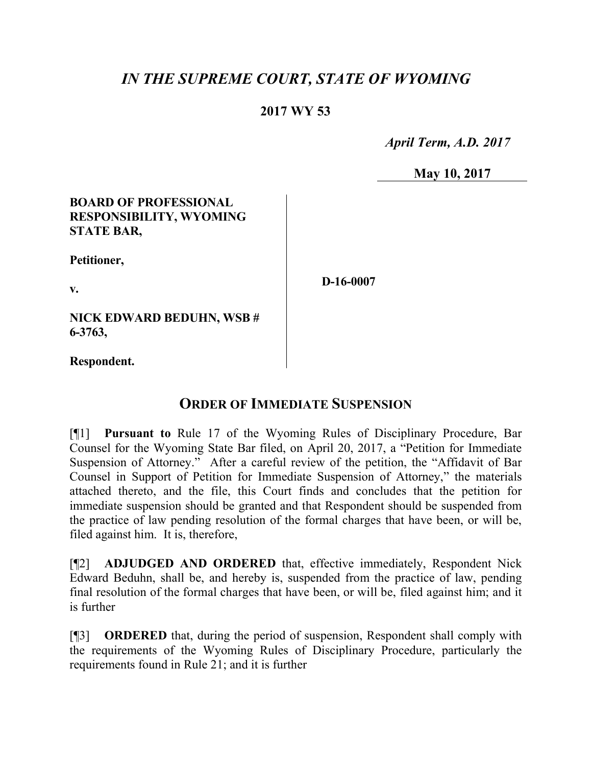# *IN THE SUPREME COURT, STATE OF WYOMING*

## **2017 WY 53**

 *April Term, A.D. 2017*

**May 10, 2017**

#### **BOARD OF PROFESSIONAL RESPONSIBILITY, WYOMING STATE BAR,**

**Petitioner,**

**v.**

**D-16-0007**

**NICK EDWARD BEDUHN, WSB # 6-3763,**

**Respondent.**

## **ORDER OF IMMEDIATE SUSPENSION**

[¶1] **Pursuant to** Rule 17 of the Wyoming Rules of Disciplinary Procedure, Bar Counsel for the Wyoming State Bar filed, on April 20, 2017, a "Petition for Immediate Suspension of Attorney." After a careful review of the petition, the "Affidavit of Bar Counsel in Support of Petition for Immediate Suspension of Attorney," the materials attached thereto, and the file, this Court finds and concludes that the petition for immediate suspension should be granted and that Respondent should be suspended from the practice of law pending resolution of the formal charges that have been, or will be, filed against him. It is, therefore,

[¶2] **ADJUDGED AND ORDERED** that, effective immediately, Respondent Nick Edward Beduhn, shall be, and hereby is, suspended from the practice of law, pending final resolution of the formal charges that have been, or will be, filed against him; and it is further

[¶3] **ORDERED** that, during the period of suspension, Respondent shall comply with the requirements of the Wyoming Rules of Disciplinary Procedure, particularly the requirements found in Rule 21; and it is further